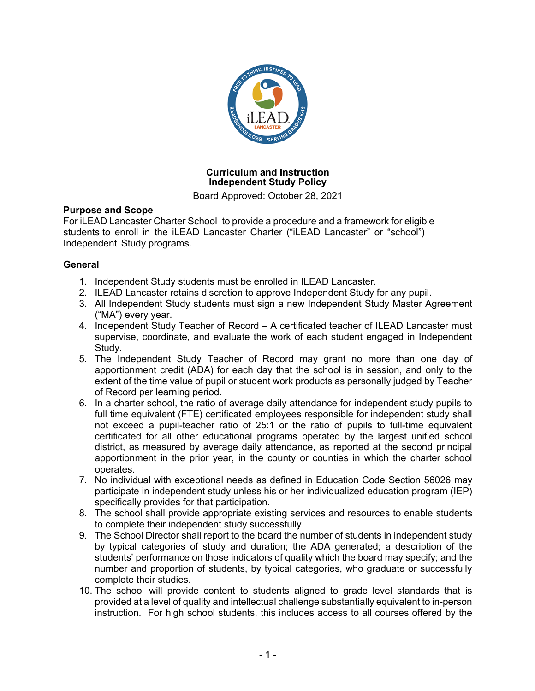

## **Curriculum and Instruction Independent Study Policy**

Board Approved: October 28, 2021

## **Purpose and Scope**

For iLEAD Lancaster Charter School to provide a procedure and a framework for eligible students to enroll in the iLEAD Lancaster Charter ("iLEAD Lancaster" or "school") Independent Study programs.

# **General**

- 1. Independent Study students must be enrolled in ILEAD Lancaster.
- 2. ILEAD Lancaster retains discretion to approve Independent Study for any pupil.
- 3. All Independent Study students must sign a new Independent Study Master Agreement ("MA") every year.
- 4. Independent Study Teacher of Record A certificated teacher of ILEAD Lancaster must supervise, coordinate, and evaluate the work of each student engaged in Independent Study.
- 5. The Independent Study Teacher of Record may grant no more than one day of apportionment credit (ADA) for each day that the school is in session, and only to the extent of the time value of pupil or student work products as personally judged by Teacher of Record per learning period.
- 6. In a charter school, the ratio of average daily attendance for independent study pupils to full time equivalent (FTE) certificated employees responsible for independent study shall not exceed a pupil-teacher ratio of 25:1 or the ratio of pupils to full-time equivalent certificated for all other educational programs operated by the largest unified school district, as measured by average daily attendance, as reported at the second principal apportionment in the prior year, in the county or counties in which the charter school operates.
- 7. No individual with exceptional needs as defined in Education Code Section 56026 may participate in independent study unless his or her individualized education program (IEP) specifically provides for that participation.
- 8. The school shall provide appropriate existing services and resources to enable students to complete their independent study successfully
- 9. The School Director shall report to the board the number of students in independent study by typical categories of study and duration; the ADA generated; a description of the students' performance on those indicators of quality which the board may specify; and the number and proportion of students, by typical categories, who graduate or successfully complete their studies.
- 10. The school will provide content to students aligned to grade level standards that is provided at a level of quality and intellectual challenge substantially equivalent to in-person instruction. For high school students, this includes access to all courses offered by the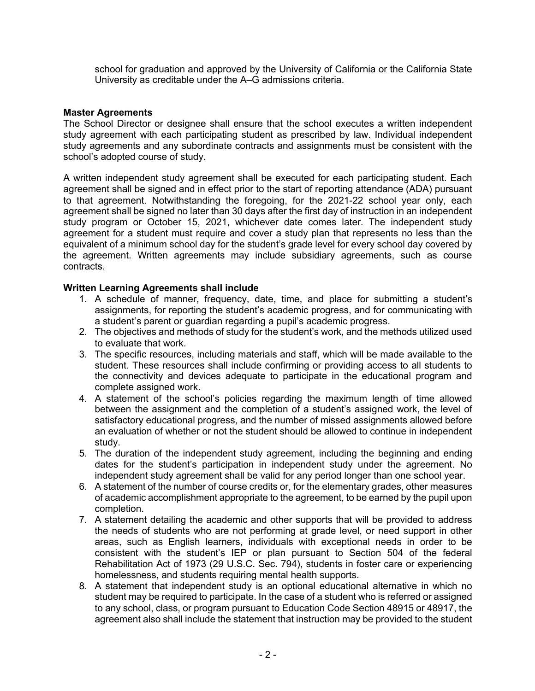school for graduation and approved by the University of California or the California State University as creditable under the A–G admissions criteria.

#### **Master Agreements**

The School Director or designee shall ensure that the school executes a written independent study agreement with each participating student as prescribed by law. Individual independent study agreements and any subordinate contracts and assignments must be consistent with the school's adopted course of study.

A written independent study agreement shall be executed for each participating student. Each agreement shall be signed and in effect prior to the start of reporting attendance (ADA) pursuant to that agreement. Notwithstanding the foregoing, for the 2021-22 school year only, each agreement shall be signed no later than 30 days after the first day of instruction in an independent study program or October 15, 2021, whichever date comes later. The independent study agreement for a student must require and cover a study plan that represents no less than the equivalent of a minimum school day for the student's grade level for every school day covered by the agreement. Written agreements may include subsidiary agreements, such as course contracts.

#### **Written Learning Agreements shall include**

- 1. A schedule of manner, frequency, date, time, and place for submitting a student's assignments, for reporting the student's academic progress, and for communicating with a student's parent or guardian regarding a pupil's academic progress.
- 2. The objectives and methods of study for the student's work, and the methods utilized used to evaluate that work.
- 3. The specific resources, including materials and staff, which will be made available to the student. These resources shall include confirming or providing access to all students to the connectivity and devices adequate to participate in the educational program and complete assigned work.
- 4. A statement of the school's policies regarding the maximum length of time allowed between the assignment and the completion of a student's assigned work, the level of satisfactory educational progress, and the number of missed assignments allowed before an evaluation of whether or not the student should be allowed to continue in independent study.
- 5. The duration of the independent study agreement, including the beginning and ending dates for the student's participation in independent study under the agreement. No independent study agreement shall be valid for any period longer than one school year.
- 6. A statement of the number of course credits or, for the elementary grades, other measures of academic accomplishment appropriate to the agreement, to be earned by the pupil upon completion.
- 7. A statement detailing the academic and other supports that will be provided to address the needs of students who are not performing at grade level, or need support in other areas, such as English learners, individuals with exceptional needs in order to be consistent with the student's IEP or plan pursuant to Section 504 of the federal Rehabilitation Act of 1973 (29 U.S.C. Sec. 794), students in foster care or experiencing homelessness, and students requiring mental health supports.
- 8. A statement that independent study is an optional educational alternative in which no student may be required to participate. In the case of a student who is referred or assigned to any school, class, or program pursuant to Education Code Section 48915 or 48917, the agreement also shall include the statement that instruction may be provided to the student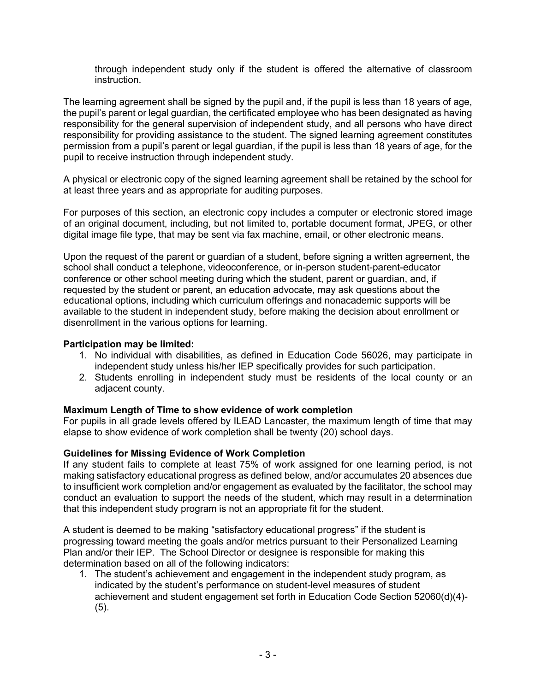through independent study only if the student is offered the alternative of classroom instruction.

The learning agreement shall be signed by the pupil and, if the pupil is less than 18 years of age, the pupil's parent or legal guardian, the certificated employee who has been designated as having responsibility for the general supervision of independent study, and all persons who have direct responsibility for providing assistance to the student. The signed learning agreement constitutes permission from a pupil's parent or legal guardian, if the pupil is less than 18 years of age, for the pupil to receive instruction through independent study.

A physical or electronic copy of the signed learning agreement shall be retained by the school for at least three years and as appropriate for auditing purposes.

For purposes of this section, an electronic copy includes a computer or electronic stored image of an original document, including, but not limited to, portable document format, JPEG, or other digital image file type, that may be sent via fax machine, email, or other electronic means.

Upon the request of the parent or guardian of a student, before signing a written agreement, the school shall conduct a telephone, videoconference, or in-person student-parent-educator conference or other school meeting during which the student, parent or guardian, and, if requested by the student or parent, an education advocate, may ask questions about the educational options, including which curriculum offerings and nonacademic supports will be available to the student in independent study, before making the decision about enrollment or disenrollment in the various options for learning.

#### **Participation may be limited:**

- 1. No individual with disabilities, as defined in Education Code 56026, may participate in independent study unless his/her IEP specifically provides for such participation.
- 2. Students enrolling in independent study must be residents of the local county or an adjacent county.

## **Maximum Length of Time to show evidence of work completion**

For pupils in all grade levels offered by ILEAD Lancaster, the maximum length of time that may elapse to show evidence of work completion shall be twenty (20) school days.

## **Guidelines for Missing Evidence of Work Completion**

If any student fails to complete at least 75% of work assigned for one learning period, is not making satisfactory educational progress as defined below, and/or accumulates 20 absences due to insufficient work completion and/or engagement as evaluated by the facilitator, the school may conduct an evaluation to support the needs of the student, which may result in a determination that this independent study program is not an appropriate fit for the student.

A student is deemed to be making "satisfactory educational progress" if the student is progressing toward meeting the goals and/or metrics pursuant to their Personalized Learning Plan and/or their IEP. The School Director or designee is responsible for making this determination based on all of the following indicators:

1. The student's achievement and engagement in the independent study program, as indicated by the student's performance on student-level measures of student achievement and student engagement set forth in Education Code Section 52060(d)(4)- (5).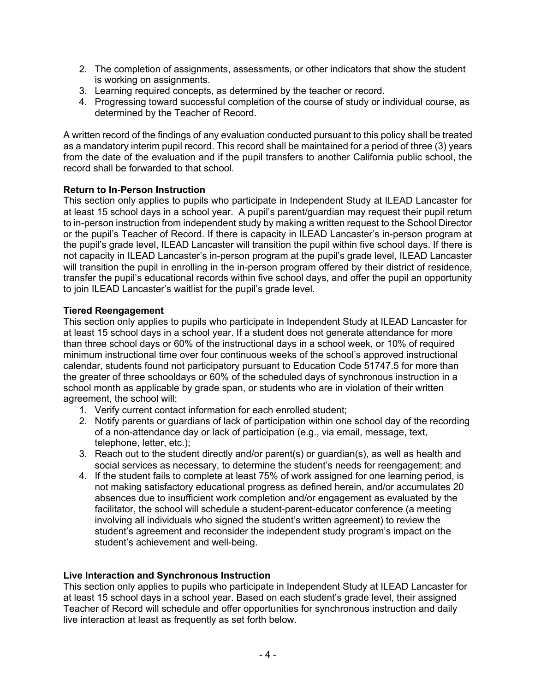- 2. The completion of assignments, assessments, or other indicators that show the student is working on assignments.
- 3. Learning required concepts, as determined by the teacher or record.
- 4. Progressing toward successful completion of the course of study or individual course, as determined by the Teacher of Record.

A written record of the findings of any evaluation conducted pursuant to this policy shall be treated as a mandatory interim pupil record. This record shall be maintained for a period of three (3) years from the date of the evaluation and if the pupil transfers to another California public school, the record shall be forwarded to that school.

## **Return to In-Person Instruction**

This section only applies to pupils who participate in Independent Study at ILEAD Lancaster for at least 15 school days in a school year. A pupil's parent/guardian may request their pupil return to in-person instruction from independent study by making a written request to the School Director or the pupil's Teacher of Record. If there is capacity in ILEAD Lancaster's in-person program at the pupil's grade level, ILEAD Lancaster will transition the pupil within five school days. If there is not capacity in ILEAD Lancaster's in-person program at the pupil's grade level, ILEAD Lancaster will transition the pupil in enrolling in the in-person program offered by their district of residence, transfer the pupil's educational records within five school days, and offer the pupil an opportunity to join ILEAD Lancaster's waitlist for the pupil's grade level.

## **Tiered Reengagement**

This section only applies to pupils who participate in Independent Study at ILEAD Lancaster for at least 15 school days in a school year. If a student does not generate attendance for more than three school days or 60% of the instructional days in a school week, or 10% of required minimum instructional time over four continuous weeks of the school's approved instructional calendar, students found not participatory pursuant to Education Code 51747.5 for more than the greater of three schooldays or 60% of the scheduled days of synchronous instruction in a school month as applicable by grade span, or students who are in violation of their written agreement, the school will:

- 1. Verify current contact information for each enrolled student;
- 2. Notify parents or guardians of lack of participation within one school day of the recording of a non-attendance day or lack of participation (e.g., via email, message, text, telephone, letter, etc.);
- 3. Reach out to the student directly and/or parent(s) or guardian(s), as well as health and social services as necessary, to determine the student's needs for reengagement; and
- 4. If the student fails to complete at least 75% of work assigned for one learning period, is not making satisfactory educational progress as defined herein, and/or accumulates 20 absences due to insufficient work completion and/or engagement as evaluated by the facilitator, the school will schedule a student-parent-educator conference (a meeting involving all individuals who signed the student's written agreement) to review the student's agreement and reconsider the independent study program's impact on the student's achievement and well-being.

## **Live Interaction and Synchronous Instruction**

This section only applies to pupils who participate in Independent Study at ILEAD Lancaster for at least 15 school days in a school year. Based on each student's grade level, their assigned Teacher of Record will schedule and offer opportunities for synchronous instruction and daily live interaction at least as frequently as set forth below.